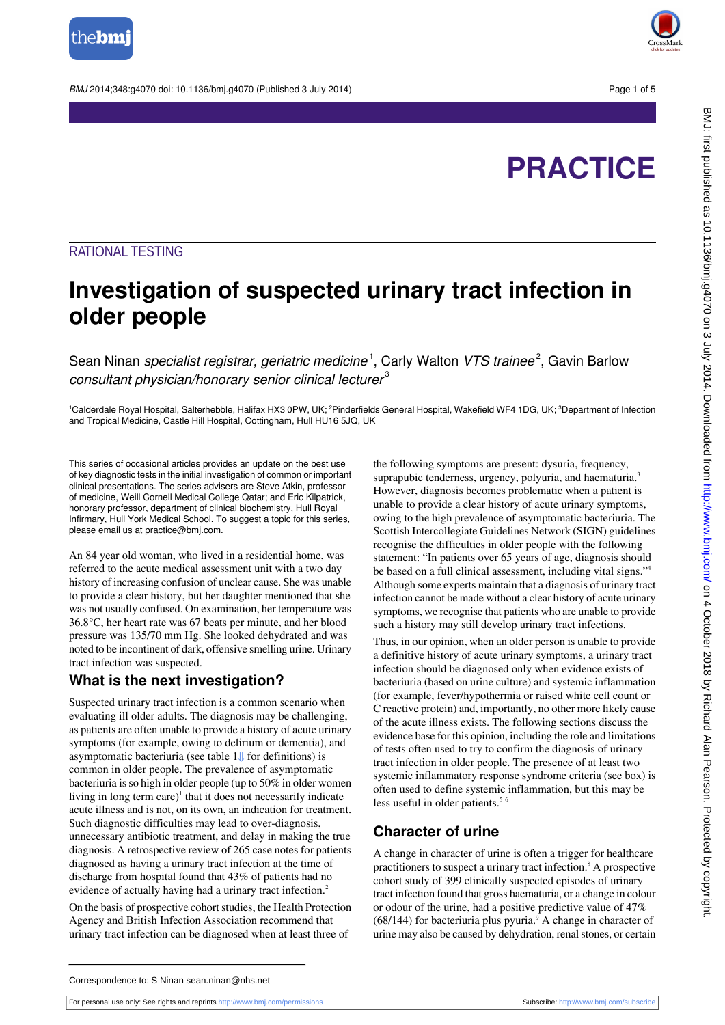

BMJ 2014:348:g4070 doi: 10.1136/bmi.g4070 (Published 3 July 2014) Page 1 of 5



# **PRACTICE**

## RATIONAL TESTING

## **Investigation of suspected urinary tract infection in older people**

Sean Ninan *specialist registrar, geriatric medicine* <sup>1</sup>, Carly Walton *VTS trainee* <sup>2</sup>, Gavin Barlow consultant physician/honorary senior clinical lecturer<sup>3</sup>

<sup>1</sup>Calderdale Royal Hospital, Salterhebble, Halifax HX3 0PW, UK; <sup>2</sup>Pinderfields General Hospital, Wakefield WF4 1DG, UK; <sup>3</sup>Department of Infection and Tropical Medicine, Castle Hill Hospital, Cottingham, Hull HU16 5JQ, UK

This series of occasional articles provides an update on the best use of key diagnostic tests in the initial investigation of common or important clinical presentations. The series advisers are Steve Atkin, professor of medicine, Weill Cornell Medical College Qatar; and Eric Kilpatrick, honorary professor, department of clinical biochemistry, Hull Royal Infirmary, Hull York Medical School. To suggest a topic for this series, please email us at practice@bmj.com.

An 84 year old woman, who lived in a residential home, was referred to the acute medical assessment unit with a two day history of increasing confusion of unclear cause. She was unable to provide a clear history, but her daughter mentioned that she was not usually confused. On examination, her temperature was 36.8°C, her heart rate was 67 beats per minute, and her blood pressure was 135/70 mm Hg. She looked dehydrated and was noted to be incontinent of dark, offensive smelling urine. Urinary tract infection was suspected.

#### **What is the next investigation?**

Suspected urinary tract infection is a common scenario when evaluating ill older adults. The diagnosis may be challenging, as patients are often unable to provide a history of acute urinary symptoms (for example, owing to delirium or dementia), and asymptomatic bacteriuria (see table1[⇓](#page-3-0) for definitions) is common in older people. The prevalence of asymptomatic bacteriuria is so high in older people (up to 50% in older women living in long term care)<sup>1</sup> that it does not necessarily indicate acute illness and is not, on its own, an indication for treatment. Such diagnostic difficulties may lead to over-diagnosis, unnecessary antibiotic treatment, and delay in making the true diagnosis. A retrospective review of 265 case notes for patients diagnosed as having a urinary tract infection at the time of discharge from hospital found that 43% of patients had no evidence of actually having had a urinary tract infection.<sup>2</sup>

On the basis of prospective cohort studies, the Health Protection Agency and British Infection Association recommend that urinary tract infection can be diagnosed when at least three of

the following symptoms are present: dysuria, frequency, suprapubic tenderness, urgency, polyuria, and haematuria.<sup>3</sup> However, diagnosis becomes problematic when a patient is unable to provide a clear history of acute urinary symptoms, owing to the high prevalence of asymptomatic bacteriuria. The Scottish Intercollegiate Guidelines Network (SIGN) guidelines recognise the difficulties in older people with the following statement: "In patients over 65 years of age, diagnosis should be based on a full clinical assessment, including vital signs."<sup>4</sup> Although some experts maintain that a diagnosis of urinary tract infection cannot be made without a clear history of acute urinary symptoms, we recognise that patients who are unable to provide such a history may still develop urinary tract infections.

Thus, in our opinion, when an older person is unable to provide a definitive history of acute urinary symptoms, a urinary tract infection should be diagnosed only when evidence exists of bacteriuria (based on urine culture) and systemic inflammation (for example, fever/hypothermia or raised white cell count or C reactive protein) and, importantly, no other more likely cause of the acute illness exists. The following sections discuss the evidence base for this opinion, including the role and limitations of tests often used to try to confirm the diagnosis of urinary tract infection in older people. The presence of at least two systemic inflammatory response syndrome criteria (see box) is often used to define systemic inflammation, but this may be less useful in older patients.<sup>5 6</sup>

## **Character of urine**

A change in character of urine is often a trigger for healthcare practitioners to suspect a urinary tract infection.<sup>8</sup> A prospective cohort study of 399 clinically suspected episodes of urinary tract infection found that gross haematuria, or a change in colour or odour of the urine, had a positive predictive value of 47%  $(68/144)$  for bacteriuria plus pyuria.<sup>9</sup> A change in character of urine may also be caused by dehydration, renal stones, or certain

Correspondence to: S Ninan sean.ninan@nhs.net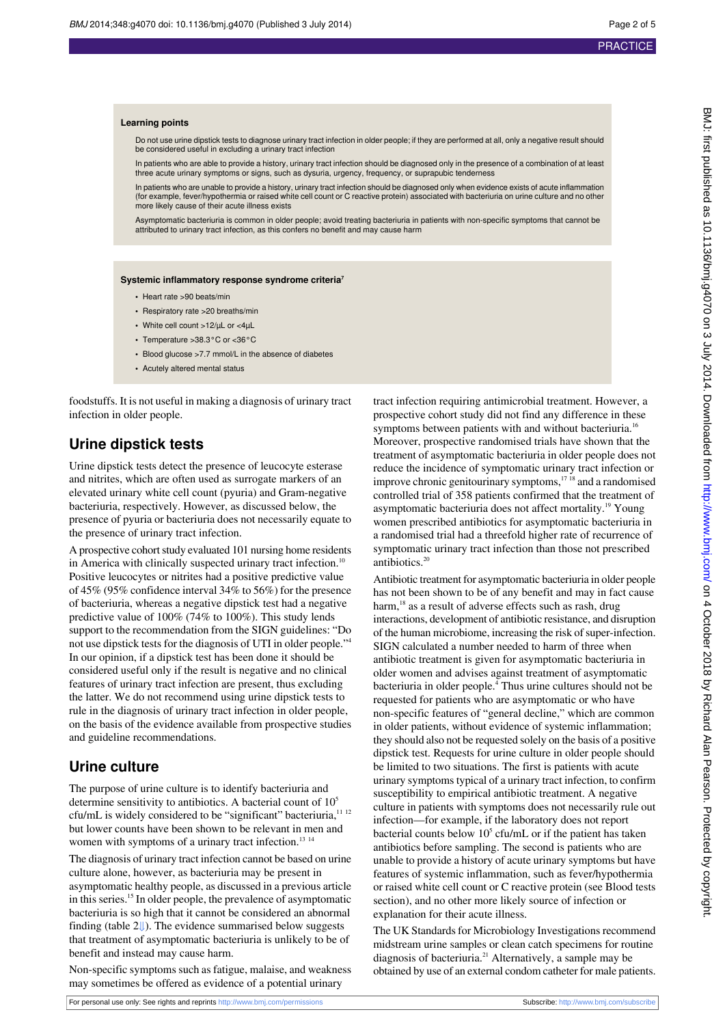#### **Learning points**

Do not use urine dipstick tests to diagnose urinary tract infection in older people; if they are performed at all, only a negative result should be considered useful in excluding a urinary tract infection

In patients who are able to provide a history, urinary tract infection should be diagnosed only in the presence of a combination of at least three acute urinary symptoms or signs, such as dysuria, urgency, frequency, or suprapubic tenderness

In patients who are unable to provide a history, urinary tract infection should be diagnosed only when evidence exists of acute inflammation (for example, fever/hypothermia or raised white cell count or C reactive protein) associated with bacteriuria on urine culture and no other more likely cause of their acute illness exists

Asymptomatic bacteriuria is common in older people; avoid treating bacteriuria in patients with non-specific symptoms that cannot be attributed to urinary tract infection, as this confers no benefit and may cause harm

#### **Systemic inflammatory response syndrome criteria<sup>7</sup>**

- **•** Heart rate >90 beats/min
- **•** Respiratory rate >20 breaths/min
- **•** White cell count >12/µL or <4µL
- **•** Temperature >38.3°C or <36°C
- **•** Blood glucose >7.7 mmol/L in the absence of diabetes
- **•** Acutely altered mental status

foodstuffs. It is not useful in making a diagnosis of urinary tract infection in older people.

#### **Urine dipstick tests**

Urine dipstick tests detect the presence of leucocyte esterase and nitrites, which are often used as surrogate markers of an elevated urinary white cell count (pyuria) and Gram-negative bacteriuria, respectively. However, as discussed below, the presence of pyuria or bacteriuria does not necessarily equate to the presence of urinary tract infection.

A prospective cohort study evaluated 101 nursing home residents in America with clinically suspected urinary tract infection.<sup>10</sup> Positive leucocytes or nitrites had a positive predictive value of 45% (95% confidence interval 34% to 56%) for the presence of bacteriuria, whereas a negative dipstick test had a negative predictive value of 100% (74% to 100%). This study lends support to the recommendation from the SIGN guidelines: "Do not use dipstick tests for the diagnosis of UTI in older people."<sup>4</sup> In our opinion, if a dipstick test has been done it should be considered useful only if the result is negative and no clinical features of urinary tract infection are present, thus excluding the latter. We do not recommend using urine dipstick tests to rule in the diagnosis of urinary tract infection in older people, on the basis of the evidence available from prospective studies and guideline recommendations.

#### **Urine culture**

The purpose of urine culture is to identify bacteriuria and determine sensitivity to antibiotics. A bacterial count of  $10<sup>5</sup>$ cfu/mL is widely considered to be "significant" bacteriuria,  $11/12$ but lower counts have been shown to be relevant in men and women with symptoms of a urinary tract infection.<sup>13 14</sup>

The diagnosis of urinary tract infection cannot be based on urine culture alone, however, as bacteriuria may be present in asymptomatic healthy people, as discussed in a previous article in this series.<sup>15</sup> In older people, the prevalence of asymptomatic bacteriuria is so high that it cannot be considered an abnormal finding (table [2⇓](#page-4-0)). The evidence summarised below suggests that treatment of asymptomatic bacteriuria is unlikely to be of benefit and instead may cause harm.

Non-specific symptoms such as fatigue, malaise, and weakness may sometimes be offered as evidence of a potential urinary

tract infection requiring antimicrobial treatment. However, a prospective cohort study did not find any difference in these symptoms between patients with and without bacteriuria.<sup>16</sup> Moreover, prospective randomised trials have shown that the treatment of asymptomatic bacteriuria in older people does not reduce the incidence of symptomatic urinary tract infection or improve chronic genitourinary symptoms,<sup>1718</sup> and a randomised controlled trial of 358 patients confirmed that the treatment of asymptomatic bacteriuria does not affect mortality.<sup>19</sup> Young women prescribed antibiotics for asymptomatic bacteriuria in a randomised trial had a threefold higher rate of recurrence of symptomatic urinary tract infection than those not prescribed antibiotics.<sup>20</sup>

Antibiotic treatment for asymptomatic bacteriuria in older people has not been shown to be of any benefit and may in fact cause harm,<sup>18</sup> as a result of adverse effects such as rash, drug interactions, development of antibiotic resistance, and disruption of the human microbiome, increasing the risk of super-infection. SIGN calculated a number needed to harm of three when antibiotic treatment is given for asymptomatic bacteriuria in older women and advises against treatment of asymptomatic bacteriuria in older people.<sup>4</sup> Thus urine cultures should not be requested for patients who are asymptomatic or who have non-specific features of "general decline," which are common in older patients, without evidence of systemic inflammation; they should also not be requested solely on the basis of a positive dipstick test. Requests for urine culture in older people should be limited to two situations. The first is patients with acute urinary symptoms typical of a urinary tract infection, to confirm susceptibility to empirical antibiotic treatment. A negative culture in patients with symptoms does not necessarily rule out infection—for example, if the laboratory does not report bacterial counts below  $10<sup>5</sup>$  cfu/mL or if the patient has taken antibiotics before sampling. The second is patients who are unable to provide a history of acute urinary symptoms but have features of systemic inflammation, such as fever/hypothermia or raised white cell count or C reactive protein (see Blood tests section), and no other more likely source of infection or explanation for their acute illness.

The UK Standards for Microbiology Investigations recommend midstream urine samples or clean catch specimens for routine diagnosis of bacteriuria.<sup>21</sup> Alternatively, a sample may be obtained by use of an external condom catheter for male patients.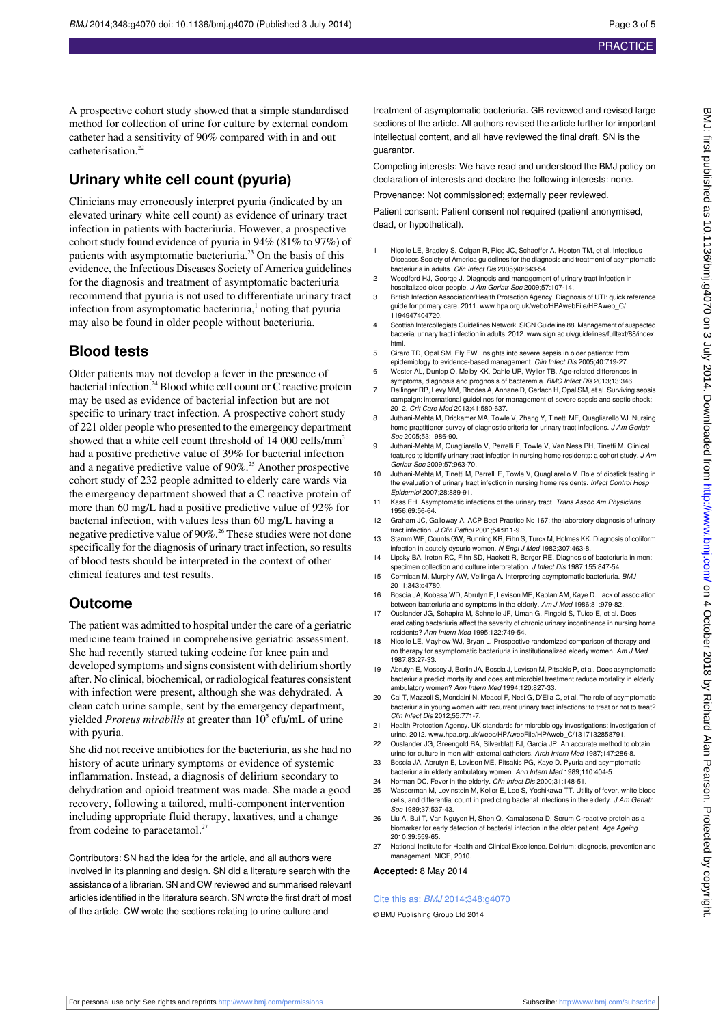A prospective cohort study showed that a simple standardised method for collection of urine for culture by external condom catheter had a sensitivity of 90% compared with in and out catheterisation.<sup>22</sup>

## **Urinary white cell count (pyuria)**

Clinicians may erroneously interpret pyuria (indicated by an elevated urinary white cell count) as evidence of urinary tract infection in patients with bacteriuria. However, a prospective cohort study found evidence of pyuria in 94% (81% to 97%) of patients with asymptomatic bacteriuria.<sup>23</sup> On the basis of this evidence, the Infectious Diseases Society of America guidelines for the diagnosis and treatment of asymptomatic bacteriuria recommend that pyuria is not used to differentiate urinary tract infection from asymptomatic bacteriuria,<sup>1</sup> noting that pyuria may also be found in older people without bacteriuria.

## **Blood tests**

Older patients may not develop a fever in the presence of bacterial infection.<sup>24</sup> Blood white cell count or C reactive protein may be used as evidence of bacterial infection but are not specific to urinary tract infection. A prospective cohort study of 221 older people who presented to the emergency department showed that a white cell count threshold of 14 000 cells/mm<sup>3</sup> had a positive predictive value of 39% for bacterial infection and a negative predictive value of 90%.<sup>25</sup> Another prospective cohort study of 232 people admitted to elderly care wards via the emergency department showed that a C reactive protein of more than 60 mg/L had a positive predictive value of 92% for bacterial infection, with values less than 60 mg/L having a negative predictive value of 90%.<sup>26</sup> These studies were not done specifically for the diagnosis of urinary tract infection, so results of blood tests should be interpreted in the context of other clinical features and test results.

### **Outcome**

The patient was admitted to hospital under the care of a geriatric medicine team trained in comprehensive geriatric assessment. She had recently started taking codeine for knee pain and developed symptoms and signs consistent with delirium shortly after. No clinical, biochemical, or radiological features consistent with infection were present, although she was dehydrated. A clean catch urine sample, sent by the emergency department, yielded *Proteus mirabilis* at greater than 10<sup>5</sup> cfu/mL of urine with pyuria.

She did not receive antibiotics for the bacteriuria, as she had no history of acute urinary symptoms or evidence of systemic inflammation. Instead, a diagnosis of delirium secondary to dehydration and opioid treatment was made. She made a good recovery, following a tailored, multi-component intervention including appropriate fluid therapy, laxatives, and a change from codeine to paracetamol.<sup>27</sup>

Contributors: SN had the idea for the article, and all authors were involved in its planning and design. SN did a literature search with the assistance of a librarian. SN and CW reviewed and summarised relevant articles identified in the literature search. SN wrote the first draft of most of the article. CW wrote the sections relating to urine culture and

treatment of asymptomatic bacteriuria. GB reviewed and revised large sections of the article. All authors revised the article further for important intellectual content, and all have reviewed the final draft. SN is the guarantor.

Competing interests: We have read and understood the BMJ policy on declaration of interests and declare the following interests: none.

Provenance: Not commissioned; externally peer reviewed.

Patient consent: Patient consent not required (patient anonymised, dead, or hypothetical).

- 1 Nicolle LE, Bradley S, Colgan R, Rice JC, Schaeffer A, Hooton TM, et al. Infectious Diseases Society of America guidelines for the diagnosis and treatment of asymptomatic bacteriuria in adults. Clin Infect Dis 2005;40:643-54.
- 2 Woodford HJ, George J. Diagnosis and management of urinary tract infection in hospitalized older people. J Am Geriatr Soc 2009;57:107-14.
- 3 British Infection Association/Health Protection Agency. Diagnosis of UTI: quick reference guide for primary care. 2011. [www.hpa.org.uk/webc/HPAwebFile/HPAweb\\_C/](http://www.hpa.org.uk/webc/HPAwebFile/HPAweb_C/1194947404720) [1194947404720.](http://www.hpa.org.uk/webc/HPAwebFile/HPAweb_C/1194947404720)
- 4 Scottish Intercollegiate Guidelines Network. SIGN Guideline 88. Management of suspected bacterial urinary tract infection in adults. 2012. [www.sign.ac.uk/guidelines/fulltext/88/index.](http://www.sign.ac.uk/guidelines/fulltext/88/index.html) [html](http://www.sign.ac.uk/guidelines/fulltext/88/index.html).
- 5 Girard TD, Opal SM, Ely EW. Insights into severe sepsis in older patients: from epidemiology to evidence-based management. Clin Infect Dis 2005;40:719-27.
- 6 Wester AL, Dunlop O, Melby KK, Dahle UR, Wyller TB. Age-related differences in symptoms, diagnosis and prognosis of bacteremia. BMC Infect Dis 2013;13:346.
- 7 Dellinger RP, Levy MM, Rhodes A, Annane D, Gerlach H, Opal SM, et al. Surviving sepsis campaign: international guidelines for management of severe sepsis and septic shock: 2012. Crit Care Med 2013;41:580-637.
- 8 Juthani-Mehta M, Drickamer MA, Towle V, Zhang Y, Tinetti ME, Quagliarello VJ. Nursing home practitioner survey of diagnostic criteria for urinary tract infections. J Am Geriatr Soc 2005;53:1986-90.
- 9 Juthani-Mehta M, Quagliarello V, Perrelli E, Towle V, Van Ness PH, Tinetti M. Clinical features to identify urinary tract infection in nursing home residents: a cohort study. J Am Geriatr Soc 2009;57:963-70.
- 10 Juthani-Mehta M, Tinetti M, Perrelli E, Towle V, Quagliarello V. Role of dipstick testing in the evaluation of urinary tract infection in nursing home residents. Infect Control Hosp Epidemiol 2007;28:889-91.
- 11 Kass EH. Asymptomatic infections of the urinary tract. Trans Assoc Am Physicians 1956;69:56-64.
- 12 Graham JC, Galloway A. ACP Best Practice No 167: the laboratory diagnosis of urinary tract infection. J Clin Pathol 2001;54:911-9.
- 13 Stamm WE, Counts GW, Running KR, Fihn S, Turck M, Holmes KK. Diagnosis of coliform infection in acutely dysuric women. N Engl J Med 1982;307:463-8.
- 14 Lipsky BA, Ireton RC, Fihn SD, Hackett R, Berger RE. Diagnosis of bacteriuria in men: specimen collection and culture interpretation. J Infect Dis 1987;155:847-54.
- 15 Cormican M, Murphy AW, Vellinga A. Interpreting asymptomatic bacteriuria. BMJ 2011;343:d4780.
- 16 Boscia JA, Kobasa WD, Abrutyn E, Levison ME, Kaplan AM, Kaye D. Lack of association between bacteriuria and symptoms in the elderly. Am J Med 1986;81:979-82.
- 17 Ouslander JG, Schapira M, Schnelle JF, Uman G, Fingold S, Tuico E, et al. Does eradicating bacteriuria affect the severity of chronic urinary incontinence in nursing home residents? Ann Intern Med 1995;122:749-54.
- 18 Nicolle LE, Mayhew WJ, Bryan L. Prospective randomized comparison of therapy and no therapy for asymptomatic bacteriuria in institutionalized elderly women. Am J Mec<br>1987;83:27-33.
- 19 Abrutyn E, Mossey J, Berlin JA, Boscia J, Levison M, Pitsakis P, et al. Does asymptomatic bacteriuria predict mortality and does antimicrobial treatment reduce mortality in elderly ambulatory women? Ann Intern Med 1994;120:827-33.
- 20 Cai T, Mazzoli S, Mondaini N, Meacci F, Nesi G, D'Elia C, et al. The role of asymptomatic bacteriuria in young women with recurrent urinary tract infections: to treat or not to treat? Clin Infect Dis 2012;55:771-7.
- 21 Health Protection Agency. UK standards for microbiology investigations: investigation of urine. 2012. [www.hpa.org.uk/webc/HPAwebFile/HPAweb\\_C/1317132858791](http://www.hpa.org.uk/webc/HPAwebFile/HPAweb_C/1317132858791).
- 22 Ouslander JG, Greengold BA, Silverblatt FJ, Garcia JP. An accurate method to obtain urine for culture in men with external catheters. Arch Intern Med 1987;147:286-8.
- 23 Boscia JA, Abrutyn E, Levison ME, Pitsakis PG, Kaye D. Pyuria and asymptomatic bacteriuria in elderly ambulatory women. Ann Intern Med 1989;110:404-5.
- 24 Norman DC. Fever in the elderly. Clin Infect Dis 2000;31:148-51.
- 25 Wasserman M, Levinstein M, Keller E, Lee S, Yoshikawa TT. Utility of fever, white blood cells, and differential count in predicting bacterial infections in the elderly. J Am Geriatr Soc 1989;37:537-43.
- 26 Liu A, Bui T, Van Nguyen H, Shen Q, Kamalasena D. Serum C-reactive protein as a biomarker for early detection of bacterial infection in the older patient. Age Ageing 2010;39:559-65.
- 27 National Institute for Health and Clinical Excellence. Delirium: diagnosis, prevention and management. NICE, 2010.

**Accepted:** 8 May 2014

#### Cite this as: *BMJ* 2014:348:g4070

© BMJ Publishing Group Ltd 2014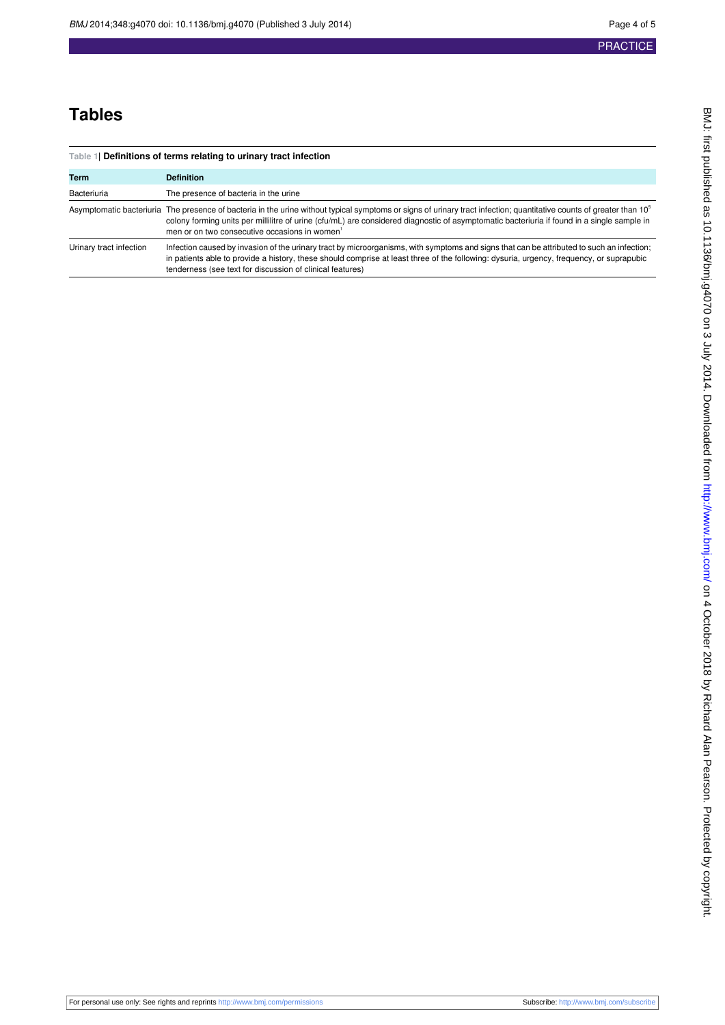## PRACTICE

## **Tables**

<span id="page-3-0"></span>

| Table 1  Definitions of terms relating to urinary tract infection |                                                                                                                                                                                                                                                                                                                                                                    |  |  |
|-------------------------------------------------------------------|--------------------------------------------------------------------------------------------------------------------------------------------------------------------------------------------------------------------------------------------------------------------------------------------------------------------------------------------------------------------|--|--|
| Term                                                              | <b>Definition</b>                                                                                                                                                                                                                                                                                                                                                  |  |  |
| <b>Bacteriuria</b>                                                | The presence of bacteria in the urine                                                                                                                                                                                                                                                                                                                              |  |  |
| Asymptomatic bacteriuria                                          | The presence of bacteria in the urine without typical symptoms or signs of urinary tract infection; quantitative counts of greater than 10 <sup>°</sup><br>colony forming units per millilitre of urine (cfu/mL) are considered diagnostic of asymptomatic bacteriuria if found in a single sample in<br>men or on two consecutive occasions in women <sup>1</sup> |  |  |
| Urinary tract infection                                           | Infection caused by invasion of the urinary tract by microorganisms, with symptoms and signs that can be attributed to such an infection;<br>in patients able to provide a history, these should comprise at least three of the following: dysuria, urgency, frequency, or suprapubic<br>tenderness (see text for discussion of clinical features)                 |  |  |